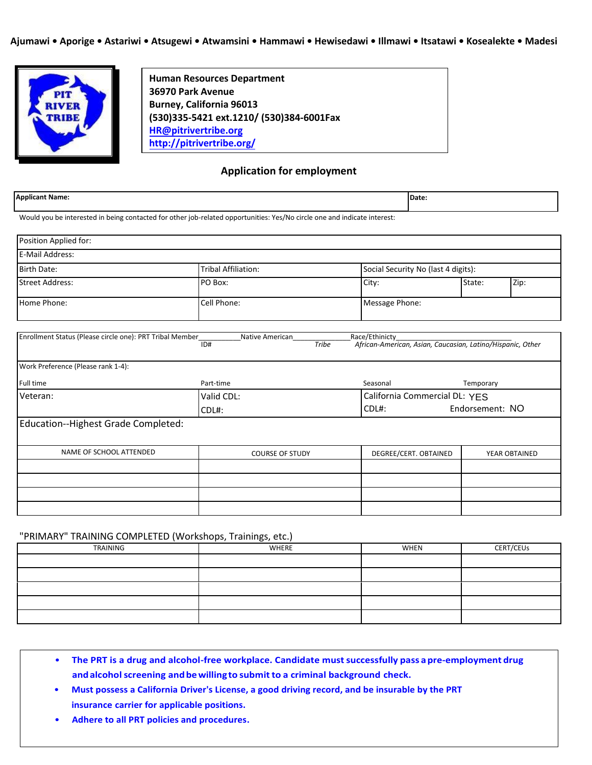

**Human Resources Department 36970 Park Avenue Burney, California 96013 (530)335-5421 ext.1210/ (530)384-6001Fax HR[@pitrivertribe.org](mailto:twilson@pitrivertribe.org) <http://pitrivertribe.org/>**

# **Application for employment**

| <b>Applicant Name:</b>                                                                                                   |                     | Date:                               |  |
|--------------------------------------------------------------------------------------------------------------------------|---------------------|-------------------------------------|--|
| Would you be interested in being contacted for other job-related opportunities: Yes/No circle one and indicate interest: |                     |                                     |  |
| Position Applied for:                                                                                                    |                     |                                     |  |
| <b>E-Mail Address:</b>                                                                                                   |                     |                                     |  |
| <b>Birth Date:</b>                                                                                                       | Tribal Affiliation: | Social Security No (last 4 digits): |  |

| TBirth Date: I         | i Fibal Affiliation: I | TSOCIAL SECURITY NO HAST 4 DIRITS). |        |      |
|------------------------|------------------------|-------------------------------------|--------|------|
| <b>Street Address:</b> | PO Box:                | City:                               | State: | Zip: |
| Home Phone:            | Cell Phone:            | Message Phone:                      |        |      |

| Enrollment Status (Please circle one): PRT Tribal Member | Native American        | Race/Ethinicty                                             |                 |
|----------------------------------------------------------|------------------------|------------------------------------------------------------|-----------------|
|                                                          | ID#<br>Tribe           | African-American, Asian, Caucasian, Latino/Hispanic, Other |                 |
|                                                          |                        |                                                            |                 |
| Work Preference (Please rank 1-4):                       |                        |                                                            |                 |
| Full time                                                | Part-time              | Seasonal                                                   | Temporary       |
| Veteran:                                                 | Valid CDL:             | California Commercial DL: YES                              |                 |
|                                                          | CDL#:                  | $CDL#$ :                                                   | Endorsement: NO |
| Education--Highest Grade Completed:                      |                        |                                                            |                 |
|                                                          |                        |                                                            |                 |
| NAME OF SCHOOL ATTENDED                                  | <b>COURSE OF STUDY</b> | DEGREE/CERT. OBTAINED                                      | YEAR OBTAINED   |
|                                                          |                        |                                                            |                 |
|                                                          |                        |                                                            |                 |
|                                                          |                        |                                                            |                 |
|                                                          |                        |                                                            |                 |

# "PRIMARY" TRAINING COMPLETED (Workshops, Trainings, etc.)

| TRAINING | WHERE | WHEN | <b>CERT/CEUs</b> |
|----------|-------|------|------------------|
|          |       |      |                  |
|          |       |      |                  |
|          |       |      |                  |
|          |       |      |                  |
|          |       |      |                  |

- **The PRT is a drug and alcohol-free workplace. Candidate mustsuccessfully pass apre-employment drug andalcoholscreening andbewillingto submit to a criminal background check.**
- **Must possess a California Driver's License, a good driving record, and be insurable by the PRT insurance carrier for applicable positions.**
- **Adhere to all PRT policies and procedures.**